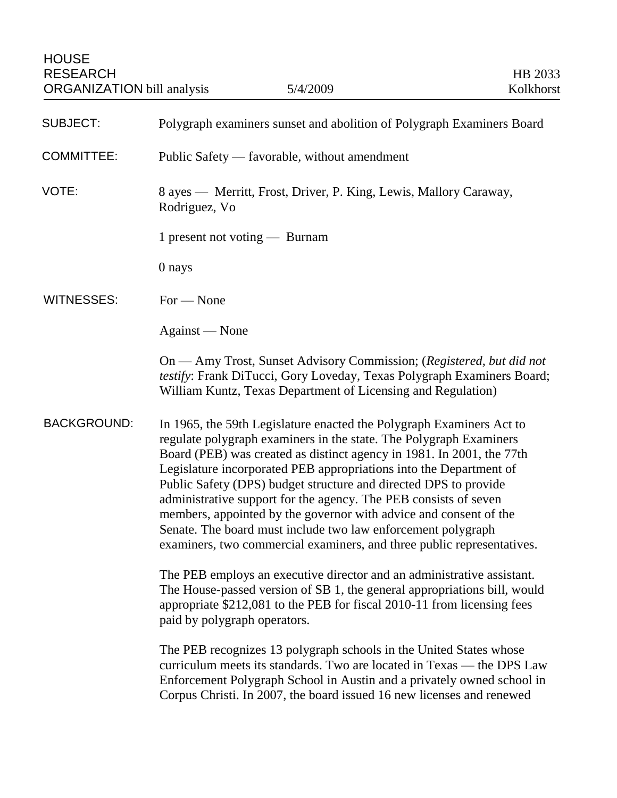| <b>SUBJECT:</b>    | Polygraph examiners sunset and abolition of Polygraph Examiners Board                                                                                                                                                                                                                                                                                                                                                                                                                                                                                                                                                                            |
|--------------------|--------------------------------------------------------------------------------------------------------------------------------------------------------------------------------------------------------------------------------------------------------------------------------------------------------------------------------------------------------------------------------------------------------------------------------------------------------------------------------------------------------------------------------------------------------------------------------------------------------------------------------------------------|
| <b>COMMITTEE:</b>  | Public Safety — favorable, without amendment                                                                                                                                                                                                                                                                                                                                                                                                                                                                                                                                                                                                     |
| VOTE:              | 8 ayes - Merritt, Frost, Driver, P. King, Lewis, Mallory Caraway,<br>Rodriguez, Vo                                                                                                                                                                                                                                                                                                                                                                                                                                                                                                                                                               |
|                    | 1 present not voting — Burnam                                                                                                                                                                                                                                                                                                                                                                                                                                                                                                                                                                                                                    |
|                    | 0 nays                                                                                                                                                                                                                                                                                                                                                                                                                                                                                                                                                                                                                                           |
| <b>WITNESSES:</b>  | $For - None$                                                                                                                                                                                                                                                                                                                                                                                                                                                                                                                                                                                                                                     |
|                    | Against — None                                                                                                                                                                                                                                                                                                                                                                                                                                                                                                                                                                                                                                   |
|                    | On — Amy Trost, Sunset Advisory Commission; (Registered, but did not<br>testify: Frank DiTucci, Gory Loveday, Texas Polygraph Examiners Board;<br>William Kuntz, Texas Department of Licensing and Regulation)                                                                                                                                                                                                                                                                                                                                                                                                                                   |
| <b>BACKGROUND:</b> | In 1965, the 59th Legislature enacted the Polygraph Examiners Act to<br>regulate polygraph examiners in the state. The Polygraph Examiners<br>Board (PEB) was created as distinct agency in 1981. In 2001, the 77th<br>Legislature incorporated PEB appropriations into the Department of<br>Public Safety (DPS) budget structure and directed DPS to provide<br>administrative support for the agency. The PEB consists of seven<br>members, appointed by the governor with advice and consent of the<br>Senate. The board must include two law enforcement polygraph<br>examiners, two commercial examiners, and three public representatives. |
|                    | The PEB employs an executive director and an administrative assistant.<br>The House-passed version of SB 1, the general appropriations bill, would<br>appropriate \$212,081 to the PEB for fiscal 2010-11 from licensing fees<br>paid by polygraph operators.                                                                                                                                                                                                                                                                                                                                                                                    |
|                    | The PEB recognizes 13 polygraph schools in the United States whose<br>curriculum meets its standards. Two are located in Texas — the DPS Law<br>Enforcement Polygraph School in Austin and a privately owned school in<br>Corpus Christi. In 2007, the board issued 16 new licenses and renewed                                                                                                                                                                                                                                                                                                                                                  |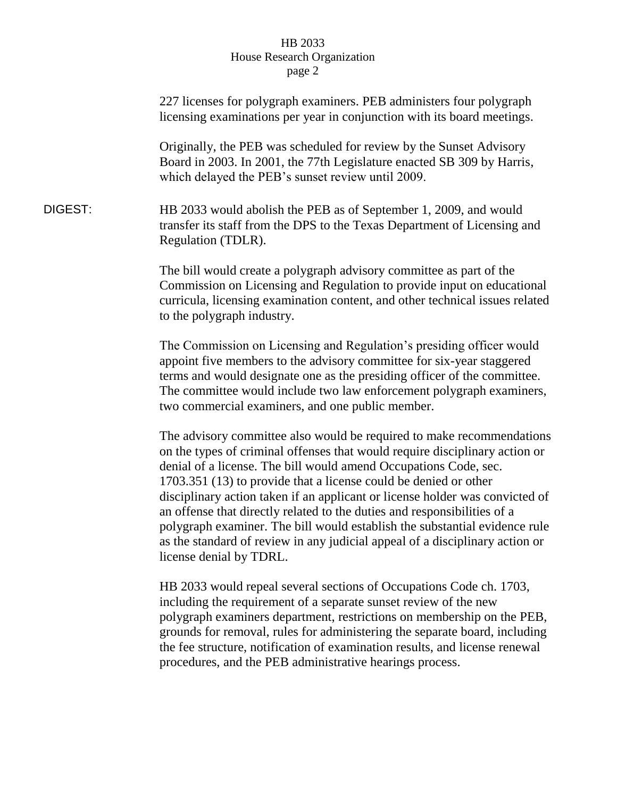## HB 2033 House Research Organization page 2

|         | 227 licenses for polygraph examiners. PEB administers four polygraph<br>licensing examinations per year in conjunction with its board meetings.                                                                                                                                                                                                                                                                                                                                                                                                                                                                                                   |
|---------|---------------------------------------------------------------------------------------------------------------------------------------------------------------------------------------------------------------------------------------------------------------------------------------------------------------------------------------------------------------------------------------------------------------------------------------------------------------------------------------------------------------------------------------------------------------------------------------------------------------------------------------------------|
|         | Originally, the PEB was scheduled for review by the Sunset Advisory<br>Board in 2003. In 2001, the 77th Legislature enacted SB 309 by Harris,<br>which delayed the PEB's sunset review until 2009.                                                                                                                                                                                                                                                                                                                                                                                                                                                |
| DIGEST: | HB 2033 would abolish the PEB as of September 1, 2009, and would<br>transfer its staff from the DPS to the Texas Department of Licensing and<br>Regulation (TDLR).                                                                                                                                                                                                                                                                                                                                                                                                                                                                                |
|         | The bill would create a polygraph advisory committee as part of the<br>Commission on Licensing and Regulation to provide input on educational<br>curricula, licensing examination content, and other technical issues related<br>to the polygraph industry.                                                                                                                                                                                                                                                                                                                                                                                       |
|         | The Commission on Licensing and Regulation's presiding officer would<br>appoint five members to the advisory committee for six-year staggered<br>terms and would designate one as the presiding officer of the committee.<br>The committee would include two law enforcement polygraph examiners,<br>two commercial examiners, and one public member.                                                                                                                                                                                                                                                                                             |
|         | The advisory committee also would be required to make recommendations<br>on the types of criminal offenses that would require disciplinary action or<br>denial of a license. The bill would amend Occupations Code, sec.<br>1703.351 (13) to provide that a license could be denied or other<br>disciplinary action taken if an applicant or license holder was convicted of<br>an offense that directly related to the duties and responsibilities of a<br>polygraph examiner. The bill would establish the substantial evidence rule<br>as the standard of review in any judicial appeal of a disciplinary action or<br>license denial by TDRL. |
|         | HB 2033 would repeal several sections of Occupations Code ch. 1703,<br>including the requirement of a separate sunset review of the new<br>polygraph examiners department, restrictions on membership on the PEB,<br>grounds for removal, rules for administering the separate board, including                                                                                                                                                                                                                                                                                                                                                   |

the fee structure, notification of examination results, and license renewal

procedures, and the PEB administrative hearings process.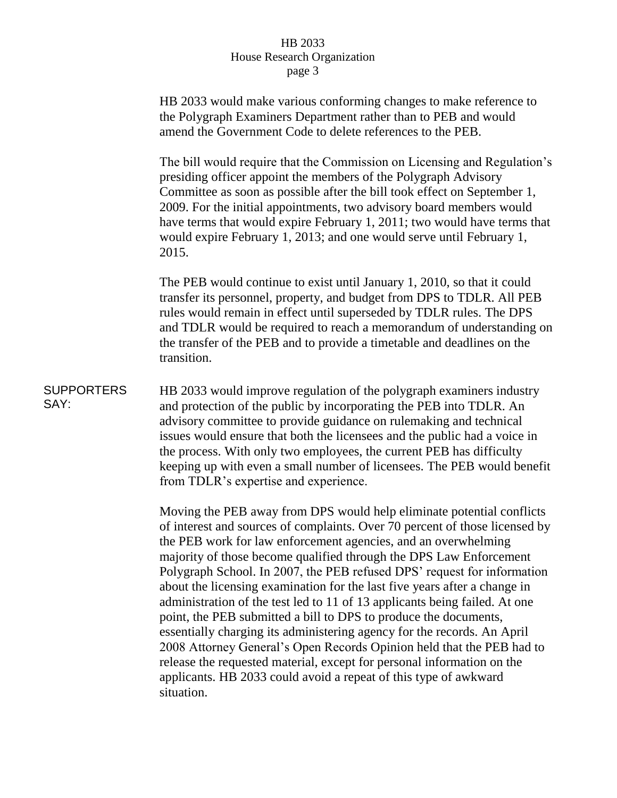## HB 2033 House Research Organization page 3

HB 2033 would make various conforming changes to make reference to the Polygraph Examiners Department rather than to PEB and would amend the Government Code to delete references to the PEB.

The bill would require that the Commission on Licensing and Regulation's presiding officer appoint the members of the Polygraph Advisory Committee as soon as possible after the bill took effect on September 1, 2009. For the initial appointments, two advisory board members would have terms that would expire February 1, 2011; two would have terms that would expire February 1, 2013; and one would serve until February 1, 2015.

The PEB would continue to exist until January 1, 2010, so that it could transfer its personnel, property, and budget from DPS to TDLR. All PEB rules would remain in effect until superseded by TDLR rules. The DPS and TDLR would be required to reach a memorandum of understanding on the transfer of the PEB and to provide a timetable and deadlines on the transition.

## **SUPPORTERS** SAY:

HB 2033 would improve regulation of the polygraph examiners industry and protection of the public by incorporating the PEB into TDLR. An advisory committee to provide guidance on rulemaking and technical issues would ensure that both the licensees and the public had a voice in the process. With only two employees, the current PEB has difficulty keeping up with even a small number of licensees. The PEB would benefit from TDLR's expertise and experience.

Moving the PEB away from DPS would help eliminate potential conflicts of interest and sources of complaints. Over 70 percent of those licensed by the PEB work for law enforcement agencies, and an overwhelming majority of those become qualified through the DPS Law Enforcement Polygraph School. In 2007, the PEB refused DPS' request for information about the licensing examination for the last five years after a change in administration of the test led to 11 of 13 applicants being failed. At one point, the PEB submitted a bill to DPS to produce the documents, essentially charging its administering agency for the records. An April 2008 Attorney General's Open Records Opinion held that the PEB had to release the requested material, except for personal information on the applicants. HB 2033 could avoid a repeat of this type of awkward situation.